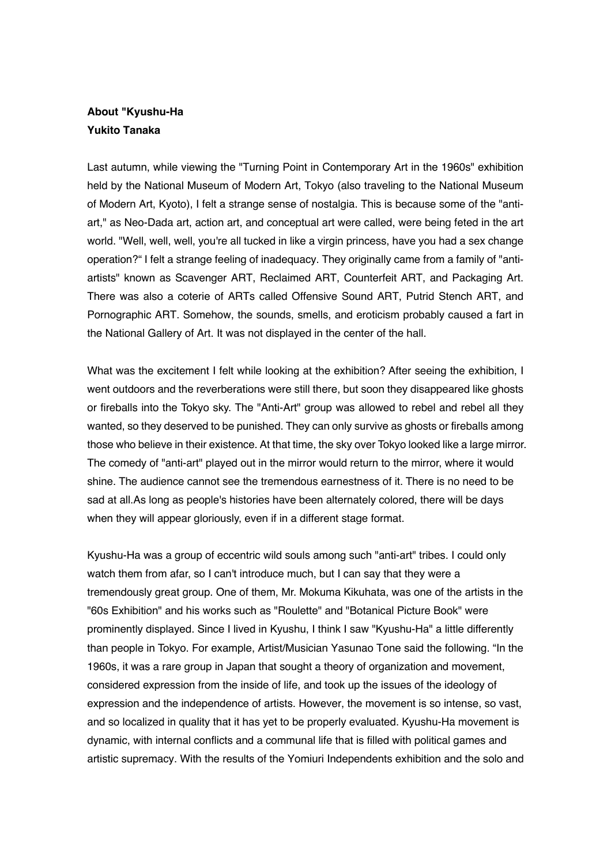## **About "Kyushu-Ha Yukito Tanaka**

Last autumn, while viewing the "Turning Point in Contemporary Art in the 1960s" exhibition held by the National Museum of Modern Art, Tokyo (also traveling to the National Museum of Modern Art, Kyoto), I felt a strange sense of nostalgia. This is because some of the "antiart," as Neo-Dada art, action art, and conceptual art were called, were being feted in the art world. "Well, well, well, you're all tucked in like a virgin princess, have you had a sex change operation?" I felt a strange feeling of inadequacy. They originally came from a family of "antiartists" known as Scavenger ART, Reclaimed ART, Counterfeit ART, and Packaging Art. There was also a coterie of ARTs called Offensive Sound ART, Putrid Stench ART, and Pornographic ART. Somehow, the sounds, smells, and eroticism probably caused a fart in the National Gallery of Art. It was not displayed in the center of the hall.

What was the excitement I felt while looking at the exhibition? After seeing the exhibition, I went outdoors and the reverberations were still there, but soon they disappeared like ghosts or fireballs into the Tokyo sky. The "Anti-Art" group was allowed to rebel and rebel all they wanted, so they deserved to be punished. They can only survive as ghosts or fireballs among those who believe in their existence. At that time, the sky over Tokyo looked like a large mirror. The comedy of "anti-art" played out in the mirror would return to the mirror, where it would shine. The audience cannot see the tremendous earnestness of it. There is no need to be sad at all.As long as people's histories have been alternately colored, there will be days when they will appear gloriously, even if in a different stage format.

Kyushu-Ha was a group of eccentric wild souls among such "anti-art" tribes. I could only watch them from afar, so I can't introduce much, but I can say that they were a tremendously great group. One of them, Mr. Mokuma Kikuhata, was one of the artists in the "60s Exhibition" and his works such as "Roulette" and "Botanical Picture Book" were prominently displayed. Since I lived in Kyushu, I think I saw "Kyushu-Ha" a little differently than people in Tokyo. For example, Artist/Musician Yasunao Tone said the following. "In the 1960s, it was a rare group in Japan that sought a theory of organization and movement, considered expression from the inside of life, and took up the issues of the ideology of expression and the independence of artists. However, the movement is so intense, so vast, and so localized in quality that it has yet to be properly evaluated. Kyushu-Ha movement is dynamic, with internal conflicts and a communal life that is filled with political games and artistic supremacy. With the results of the Yomiuri Independents exhibition and the solo and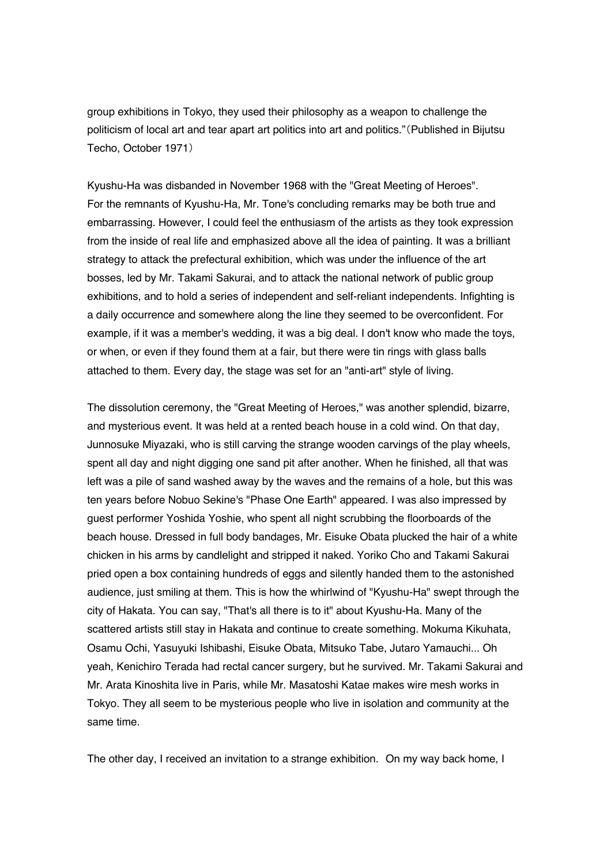group exhibitions in Tokyo, they used their philosophy as a weapon to challenge the politicism of local art and tear apart art politics into art and politics."(Published in Bijutsu Techo, October 1971)

Kyushu-Ha was disbanded in November 1968 with the "Great Meeting of Heroes". For the remnants of Kyushu-Ha, Mr. Tone's concluding remarks may be both true and embarrassing. However, I could feel the enthusiasm of the artists as they took expression from the inside of real life and emphasized above all the idea of painting. It was a brilliant strategy to attack the prefectural exhibition, which was under the influence of the art bosses, led by Mr. Takami Sakurai, and to attack the national network of public group exhibitions, and to hold a series of independent and self-reliant independents. Infighting is a daily occurrence and somewhere along the line they seemed to be overconfident. For example, if it was a member's wedding, it was a big deal. I don't know who made the toys, or when, or even if they found them at a fair, but there were tin rings with glass balls attached to them. Every day, the stage was set for an "anti-art" style of living.

The dissolution ceremony, the "Great Meeting of Heroes," was another splendid, bizarre, and mysterious event. It was held at a rented beach house in a cold wind. On that day, Junnosuke Miyazaki, who is still carving the strange wooden carvings of the play wheels, spent all day and night digging one sand pit after another. When he finished, all that was left was a pile of sand washed away by the waves and the remains of a hole, but this was ten years before Nobuo Sekine's "Phase One Earth" appeared. I was also impressed by guest performer Yoshida Yoshie, who spent all night scrubbing the floorboards of the beach house. Dressed in full body bandages, Mr. Eisuke Obata plucked the hair of a white chicken in his arms by candlelight and stripped it naked. Yoriko Cho and Takami Sakurai pried open a box containing hundreds of eggs and silently handed them to the astonished audience, just smiling at them. This is how the whirlwind of "Kyushu-Ha" swept through the city of Hakata. You can say, "That's all there is to it" about Kyushu-Ha. Many of the scattered artists still stay in Hakata and continue to create something. Mokuma Kikuhata, Osamu Ochi, Yasuyuki Ishibashi, Eisuke Obata, Mitsuko Tabe, Jutaro Yamauchi... Oh yeah, Kenichiro Terada had rectal cancer surgery, but he survived. Mr. Takami Sakurai and Mr. Arata Kinoshita live in Paris, while Mr. Masatoshi Katae makes wire mesh works in Tokyo. They all seem to be mysterious people who live in isolation and community at the same time.

The other day, I received an invitation to a strange exhibition. On my way back home, I